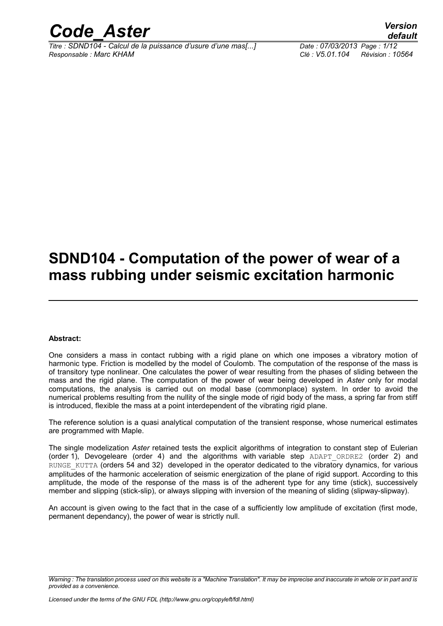

*Titre : SDND104 - Calcul de la puissance d'usure d'une mas[...] Date : 07/03/2013 Page : 1/12 Responsable : Marc KHAM Clé : V5.01.104 Révision : 10564*

*default*

## **SDND104 - Computation of the power of wear of a mass rubbing under seismic excitation harmonic**

#### **Abstract:**

One considers a mass in contact rubbing with a rigid plane on which one imposes a vibratory motion of harmonic type. Friction is modelled by the model of Coulomb. The computation of the response of the mass is of transitory type nonlinear. One calculates the power of wear resulting from the phases of sliding between the mass and the rigid plane. The computation of the power of wear being developed in *Aster* only for modal computations, the analysis is carried out on modal base (commonplace) system. In order to avoid the numerical problems resulting from the nullity of the single mode of rigid body of the mass, a spring far from stiff is introduced, flexible the mass at a point interdependent of the vibrating rigid plane.

The reference solution is a quasi analytical computation of the transient response, whose numerical estimates are programmed with Maple.

The single modelization *Aster* retained tests the explicit algorithms of integration to constant step of Eulerian (order 1), Devogeleare (order 4) and the algorithms with variable step  $ADAPT$   $ORDER2$  (order 2) and RUNGE\_KUTTA (orders 54 and 32) developed in the operator dedicated to the vibratory dynamics, for various amplitudes of the harmonic acceleration of seismic energization of the plane of rigid support. According to this amplitude, the mode of the response of the mass is of the adherent type for any time (stick), successively member and slipping (stick-slip), or always slipping with inversion of the meaning of sliding (slipway-slipway).

An account is given owing to the fact that in the case of a sufficiently low amplitude of excitation (first mode, permanent dependancy), the power of wear is strictly null.

*Warning : The translation process used on this website is a "Machine Translation". It may be imprecise and inaccurate in whole or in part and is provided as a convenience.*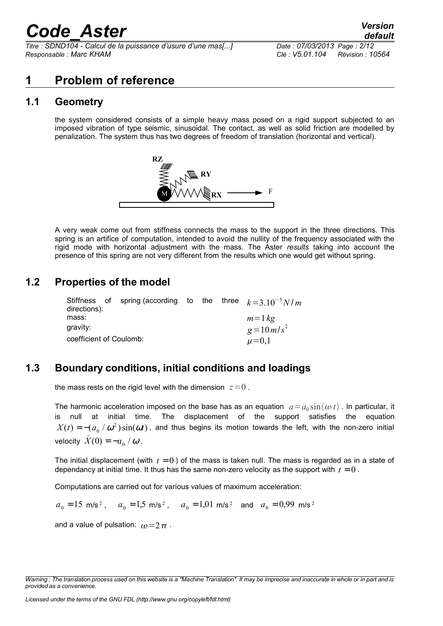*Titre : SDND104 - Calcul de la puissance d'usure d'une mas[...] Date : 07/03/2013 Page : 2/12 Responsable : Marc KHAM Clé : V5.01.104 Révision : 10564*

## **1 Problem of reference**

## **1.1 Geometry**

the system considered consists of a simple heavy mass posed on a rigid support subjected to an imposed vibration of type seismic, sinusoidal. The contact, as well as solid friction are modelled by penalization. The system thus has two degrees of freedom of translation (horizontal and vertical).



A very weak come out from stiffness connects the mass to the support in the three directions. This spring is an artifice of computation, intended to avoid the nullity of the frequency associated with the rigid mode with horizontal adjustment with the mass. The Aster *results* taking into account the presence of this spring are not very different from the results which one would get without spring.

## **1.2 Properties of the model**

| directions):               |  | Stiffness of spring (according to the three $k=3.10^{-5} N/m$ |  |  |  |             |
|----------------------------|--|---------------------------------------------------------------|--|--|--|-------------|
| mass:                      |  |                                                               |  |  |  | $m=1$ kg    |
| gravity:<br>$g = 10 m/s^2$ |  |                                                               |  |  |  |             |
| coefficient of Coulomb:    |  |                                                               |  |  |  | $\mu = 0,1$ |

## **1.3 Boundary conditions, initial conditions and loadings**

the mass rests on the rigid level with the dimension  $z=0$ .

The harmonic acceleration imposed on the base has as an equation  $a = a_0 \sin(\omega t)$ . In particular, it is null at initial time. The displacement of the support satisfies the equation  $X(t)=-(a_0^+\prime\,\omega^2)\sin(\omega t)$  , and thus begins its motion towards the left, with the non-zero initial velocity  $X(0) = -a_0/\omega$ .

The initial displacement (with  $t = 0$ ) of the mass is taken null. The mass is regarded as in a state of dependancy at initial time. It thus has the same non-zero velocity as the support with  $t = 0$ .

Computations are carried out for various values of maximum acceleration:

$$
a_0 = 15
$$
 m/s<sup>2</sup>,  $a_0 = 1.5$  m/s<sup>2</sup>,  $a_0 = 1.01$  m/s<sup>2</sup> and  $a_0 = 0.99$  m/s<sup>2</sup>

and a value of pulsation:  $\omega = 2 \pi$ .

*Warning : The translation process used on this website is a "Machine Translation". It may be imprecise and inaccurate in whole or in part and is provided as a convenience.*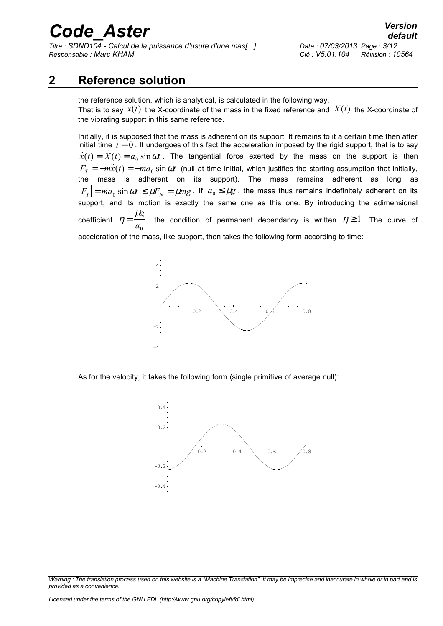*Titre : SDND104 - Calcul de la puissance d'usure d'une mas[...] Date : 07/03/2013 Page : 3/12 Responsable : Marc KHAM Clé : V5.01.104 Révision : 10564*

## **2 Reference solution**

the reference solution, which is analytical, is calculated in the following way. That is to say  $x(t)$  the X-coordinate of the mass in the fixed reference and  $X(t)$  the X-coordinate of the vibrating support in this same reference.

Initially, it is supposed that the mass is adherent on its support. It remains to it a certain time then after initial time  $t = 0$ . It undergoes of this fact the acceleration imposed by the rigid support, that is to say  $\ddot{x}(t) = \ddot{X}(t) = a_0 \sin \omega t$ . The tangential force exerted by the mass on the support is then  $F_{T} = -m\ddot{x}(t) = -ma_0\sin\omega t$  (null at time initial, which justifies the starting assumption that initially, the mass is adherent on its support). The mass remains adherent as long as  $F_{\scriptsize T}\big|$  =  $ma_{\scriptsize 0}|\!\sin\omega t|\leq \mu F_{\scriptsize N}= \mu mg$  . If  $a_{\scriptsize 0}\leq \mu g$  , the mass thus remains indefinitely adherent on its support, and its motion is exactly the same one as this one. By introducing the adimensional coefficient  $\eta=\dfrac{\mu_{l}}{l}$ *g*  $a<sub>0</sub>$ , the condition of permanent dependancy is written  $\eta \geq 1$ . The curve of acceleration of the mass, like support, then takes the following form according to time:



As for the velocity, it takes the following form (single primitive of average null):



*Warning : The translation process used on this website is a "Machine Translation". It may be imprecise and inaccurate in whole or in part and is provided as a convenience.*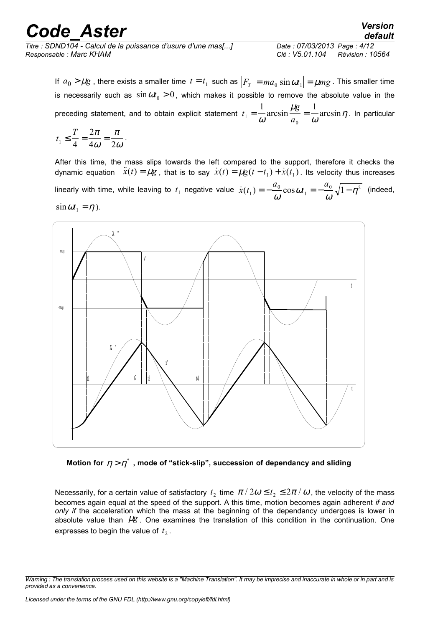| <b>Code Aster</b>                                            | <b>Version</b><br>default           |
|--------------------------------------------------------------|-------------------------------------|
| Titre : SDND104 - Calcul de la puissance d'usure d'une mas[] | Date: 07/03/2013 Page: 4/12         |
| Responsable : Marc KHAM                                      | Clé : V5.01.104<br>Révision : 10564 |

If  $a_0 > \mu g$  , there exists a smaller time  $t = t_1$  such as  $\left|F_r\right| = ma_o\big|{\sin \omega t_1}\big| = \mu mg$  . This smaller time is necessarily such as  $\sin\omega t_0 > 0$ , which makes it possible to remove the absolute value in the preceding statement, and to obtain explicit statement *t g*  $a<sup>1</sup> - \omega$  are sin a 1  $\mu$ g 1  $=\frac{1}{\omega} \arcsin \frac{\mu s}{a_0} =$  $\mu_{\rm i}$  $\arcsin \frac{\kappa s}{a_0} = \frac{1}{\omega} \arcsin \eta$ . In particular

0

$$
t_1 \leq \frac{T}{4} = \frac{2\pi}{4\omega} = \frac{\pi}{2\omega}.
$$

After this time, the mass slips towards the left compared to the support, therefore it checks the dynamic equation  $\ddot{x}(t) = \mu g$  , that is to say  $\dot{x}(t) = \mu g(t-t_1) + \dot{x}(t_1)$  . Its velocity thus increases linearly with time, while leaving to  $t_1$  negative value  $\dot{x}(t_1) = -\frac{u_0}{c} \cos \theta$ *a t a* 1  $\boldsymbol{0}$ 1  $=-\frac{a_0}{\omega}\cos \omega t_1=-\frac{a_0}{\omega}\sqrt{1-\eta^2}$ ω  $\frac{\partial^{\alpha} 0}{\partial \theta} \sqrt{1-\eta^2}$  (indeed,



**Motion for** η > η \* **, mode of "stick-slip", succession of dependancy and sliding**

Necessarily, for a certain value of satisfactory  $t_2$  time  $\pi$  /  $2\omega$   $\le$   $t_2$   $\le$   $2\pi$  /  $\omega$  , the velocity of the mass becomes again equal at the speed of the support. A this time, motion becomes again adherent *if and only if the acceleration which the mass at the beginning of the dependancy undergoes is lower in* absolute value than  $\mu$ g. One examines the translation of this condition in the continuation. One expresses to begin the value of  $t_2$ .

*Warning : The translation process used on this website is a "Machine Translation". It may be imprecise and inaccurate in whole or in part and is provided as a convenience.*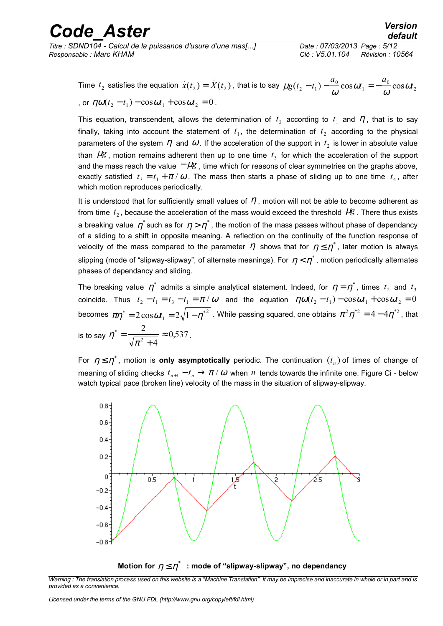*Titre : SDND104 - Calcul de la puissance d'usure d'une mas[...] Date : 07/03/2013 Page : 5/12 Responsable : Marc KHAM Clé : V5.01.104 Révision : 10564*

Time  $t_2$  satisfies the equation  $\dot{x}(t_2) = \dot{X}(t_2)$  , that is to say  $\mu g(t_2 - t_1) - \frac{a_0}{\omega}$ ω  $g(t_2 - t_1) - \frac{\mu_0}{\omega} \cos \omega t_1 = -\frac{\mu_0}{\omega} \cos \omega t_1$ *a t a*  $(t_2 - t_1) - \frac{v_0}{\omega} \cos \omega t_1 = -\frac{v_0}{\omega} \cos \omega t$ 0 1  $(t_1) - \frac{a_0}{\omega} \cos \omega t_1 = -\frac{a_0}{\omega} \cos \omega t_2$ , or  $\eta \omega(t_2 - t_1) - \cos \omega t_1 + \cos \omega t_2 = 0$ .

This equation, transcendent, allows the determination of  $t_2$  according to  $t_1$  and  $\eta$ , that is to say finally, taking into account the statement of  $t_1$ , the determination of  $t_2$  according to the physical parameters of the system  $\eta$  and  $\omega$  . If the acceleration of the support in  $t_2$  is lower in absolute value than  $\mu$ g, motion remains adherent then up to one time  $t_3$  for which the acceleration of the support and the mass reach the value  $-\mu$ g, time which for reasons of clear symmetries on the graphs above, exactly satisfied  $t_3 = t_1 + \pi/\omega$ . The mass then starts a phase of sliding up to one time  $t_4$ , after which motion reproduces periodically.

It is understood that for sufficiently small values of  $\eta$ , motion will not be able to become adherent as from time  $t_2$ , because the acceleration of the mass would exceed the threshold  $\mu$ g. There thus exists a breaking value  $\,\eta^*$ such as for  $\,\eta>\eta^*$  , the motion of the mass passes without phase of dependancy of a sliding to a shift in opposite meaning. A reflection on the continuity of the function response of velocity of the mass compared to the parameter  $\,\eta\,$  shows that for  $\,\eta\leq\eta^{\ast}$  , later motion is always slipping (mode of "slipway-slipway", of alternate meanings). For  $\,\eta<\eta^*$  , motion periodically alternates phases of dependancy and sliding.

The breaking value  $\eta^*$  admits a simple analytical statement. Indeed, for  $\eta=\eta^*$ , times  $t_2$  and  $t_3$ coincide. Thus  $t_2 - t_1 = t_3 - t_1 = \pi/\omega$  and the equation  $\eta \omega(t_2 - t_1) - \cos \omega t_1 + \cos \omega t_2 = 0$ becomes  $\pi\eta^*=2\cos\omega t_1=2\sqrt{1-\eta^*}^2$  . While passing squared, one obtains  $\pi^2\eta^{*2}=4-4\eta^{*2}$  , that is to say  $\,\eta$ π  $^* = \frac{2}{\sqrt{2}} \approx 0,$ + ≈ 2 4  $\frac{2}{2+4} \approx 0.537$ .

For  $\eta \leq \eta^*$  , motion is **only asymptotically** periodic. The continuation  $(t_n)$  of times of change of meaning of sliding checks  $t_{_{n+1}}-t_{_n}\to \pi$  /  $\omega$  when  $n$  tends towards the infinite one. Figure Ci - below watch typical pace (broken line) velocity of the mass in the situation of slipway-slipway.



Motion for  $\eta \leq \eta^*$   $\,$  : mode of "slipway-slipway", no dependancy

*Warning : The translation process used on this website is a "Machine Translation". It may be imprecise and inaccurate in whole or in part and is provided as a convenience.*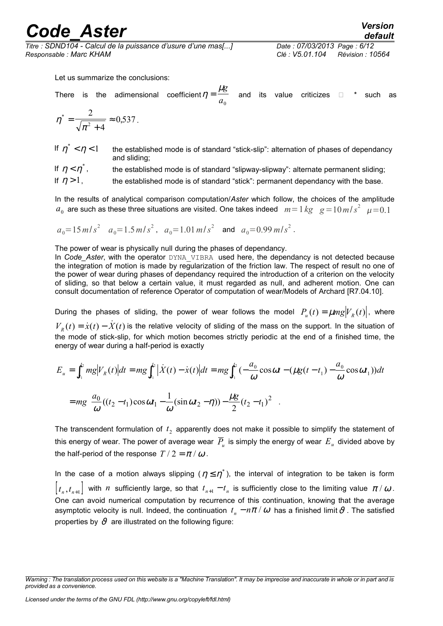*Titre : SDND104 - Calcul de la puissance d'usure d'une mas[...] Date : 07/03/2013 Page : 6/12 Responsable : Marc KHAM Clé : V5.01.104 Révision : 10564*

Let us summarize the conclusions:

There is the adimensional coefficient $\eta=\frac{\mu_{\ell}}{2}$ *g*  $\frac{100}{a_0}$  and its value criticizes  $\Box$  \* such as

$$
\eta^* = \frac{2}{\sqrt{\pi^2 + 4}} \approx 0.537.
$$

If  $\eta^* < \eta$ the established mode is of standard "stick-slip": alternation of phases of dependancy and sliding;

If  $\eta < \eta^*$ the established mode is of standard "slipway-slipway": alternate permanent sliding;

If  $\eta > 1$ , the established mode is of standard "stick": permanent dependancy with the base.

In the results of analytical comparison computation/*Aster* which follow, the choices of the amplitude  $a_0$  are such as these three situations are visited. One takes indeed  $m=1$   $kg$   $g=10$   $m/s^2$   $\mu=0.1$ 

$$
a_0 = 15 m/s^2
$$
  $a_0 = 1.5 m/s^2$ ,  $a_0 = 1.01 m/s^2$  and  $a_0 = 0.99 m/s^2$ .

The power of wear is physically null during the phases of dependancy.

In *Code\_Aster*, with the operator DYNA\_VIBRA\_used here, the dependancy is not detected because the integration of motion is made by regularization of the friction law. The respect of result no one of the power of wear during phases of dependancy required the introduction of a criterion on the velocity of sliding, so that below a certain value, it must regarded as null, and adherent motion. One can consult documentation of reference Operator of computation of wear/Models of Archard [R7.04.10].

During the phases of sliding, the power of wear follows the model  $P_u(t) = \mu mg|V_R(t)|$ , where  $V_R(t) = \dot{x}(t) - \dot{X}(t)$  is the relative velocity of sliding of the mass on the support. In the situation of the mode of stick-slip, for which motion becomes strictly periodic at the end of a finished time, the energy of wear during a half-period is exactly

$$
E_u = \int_{t_1}^{t_2} m g |V_R(t)| dt = mg \int_{t_1}^{t_2} |\dot{X}(t) - \dot{x}(t)| dt = mg \int_{t_1}^{t_2} \left(-\frac{a_0}{\omega} \cos \omega t - (\mu g (t - t_1) - \frac{a_0}{\omega} \cos \omega t_1)\right) dt
$$
  
= 
$$
mg \left[\frac{a_0}{\omega} ((t_2 - t_1) \cos \omega t_1 - \frac{1}{\omega} (\sin \omega t_2 - \eta)) - \frac{\mu g}{2} (t_2 - t_1)^2\right].
$$

The transcendent formulation of  $t_2$  apparently does not make it possible to simplify the statement of this energy of wear. The power of average wear  $\,\overline{P}_{\!u}\,$  is simply the energy of wear  $\,E_{\,u}\,$  divided above by the half-period of the response  $T/2 = \pi/\omega$ .

In the case of a motion always slipping ( $\eta \leq \eta^*$ ), the interval of integration to be taken is form  $\bigl[t_n,t_{n+1}\bigr]$  with *n* sufficiently large, so that  $t_{n+1}-t_n$  is sufficiently close to the limiting value  $\pi/\omega$ . One can avoid numerical computation by recurrence of this continuation, knowing that the average asymptotic velocity is null. Indeed, the continuation  $t_{_n}-n\pi$  /  $\omega$  has a finished limit  $\vartheta$  . The satisfied properties by  $\vartheta$  are illustrated on the following figure:

*Warning : The translation process used on this website is a "Machine Translation". It may be imprecise and inaccurate in whole or in part and is provided as a convenience.*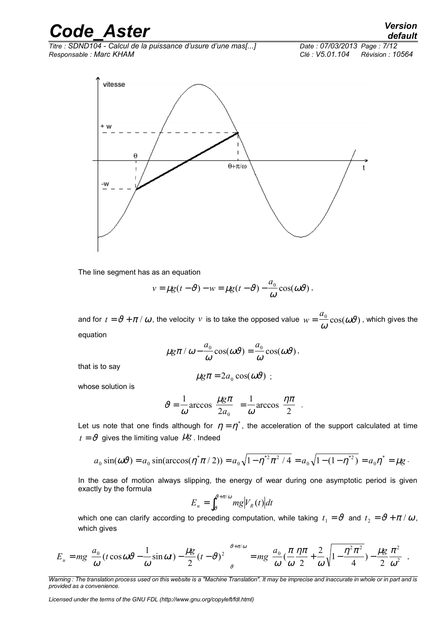*Titre : SDND104 - Calcul de la puissance d'usure d'une mas[...] Date : 07/03/2013 Page : 7/12 Responsable : Marc KHAM Clé : V5.01.104 Révision : 10564*



The line segment has as an equation

$$
v = \mu g(t - \vartheta) - w = \mu g(t - \vartheta) - \frac{a_0}{\omega} \cos(\omega \vartheta).
$$

and for  $t=\vartheta+\pi \, / \, \omega$  , the velocity  $\,$   $\,$  is to take the opposed value  $\,$   $\,$   $\omega=\dfrac{a}{a}$  $=\frac{u_0}{\sqrt{2}}$  $\frac{\omega_0}{\omega}\cos(\omega\vartheta)$  , which gives the equation

$$
\mu g \pi / \omega - \frac{a_0}{\omega} \cos(\omega \vartheta) = \frac{a_0}{\omega} \cos(\omega \vartheta),
$$

that is to say

$$
\mu g \pi = 2 a_0 \cos(\omega \vartheta) ;
$$

whose solution is

$$
\vartheta = \frac{1}{\omega} \arccos\left(\frac{\mu g \pi}{2a_0}\right) = \frac{1}{\omega} \arccos\left(\frac{\eta \pi}{2}\right).
$$

Let us note that one finds although for  $\eta=\eta^*$  , the acceleration of the support calculated at time  $t = \vartheta$  gives the limiting value  $\mu$ g. Indeed

$$
a_0 \sin(\omega \vartheta) = a_0 \sin(\arccos(\eta^* \pi / 2)) = a_0 \sqrt{1 - \eta^{*2} \pi^2 / 4} = a_0 \sqrt{1 - (1 - \eta^{*2})} = a_0 \eta^* = \mu g.
$$

In the case of motion always slipping, the energy of wear during one asymptotic period is given exactly by the formula

$$
E_u = \int_{\vartheta}^{\vartheta + \pi/\omega} mg \big| V_R(t) \big| dt
$$

which one can clarify according to preceding computation, while taking  $t_1 = \vartheta$  and  $t_2 = \vartheta + \pi/\,\omega$  , which gives

$$
E_u = mg \bigg[ \frac{a_0}{\omega} (t \cos \omega \vartheta - \frac{1}{\omega} \sin \omega t) - \frac{\mu g}{2} (t - \vartheta)^2 \bigg]_{\vartheta}^{\vartheta + \pi/\omega} = mg \bigg[ \frac{a_0}{\omega} (\frac{\pi}{\omega} \frac{\eta \pi}{2} + \frac{2}{\omega} \sqrt{1 - \frac{\eta^2 \pi^2}{4}}) - \frac{\mu g}{2} \frac{\pi^2}{\omega^2} \bigg],
$$

*Warning : The translation process used on this website is a "Machine Translation". It may be imprecise and inaccurate in whole or in part and is provided as a convenience.*

*Licensed under the terms of the GNU FDL (http://www.gnu.org/copyleft/fdl.html)*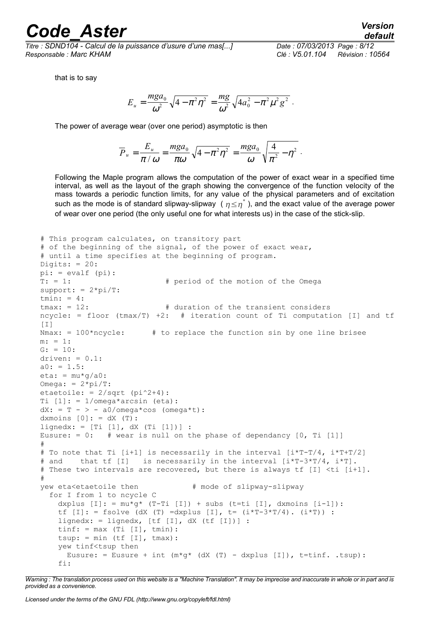*Titre : SDND104 - Calcul de la puissance d'usure d'une mas[...] Date : 07/03/2013 Page : 8/12 Responsable : Marc KHAM Clé : V5.01.104 Révision : 10564*

*default*

that is to say

$$
E_u = \frac{mga_0}{\omega^2} \sqrt{4 - \pi^2 \eta^2} = \frac{mg}{\omega^2} \sqrt{4a_0^2 - \pi^2 \mu^2 g^2}.
$$

The power of average wear (over one period) asymptotic is then

$$
\overline{P}_u = \frac{E_u}{\pi / \omega} = \frac{mga_0}{\pi \omega} \sqrt{4 - \pi^2 \eta^2} = \frac{mga_0}{\omega} \sqrt{\frac{4}{\pi^2} - \eta^2}.
$$

Following the Maple program allows the computation of the power of exact wear in a specified time interval, as well as the layout of the graph showing the convergence of the function velocity of the mass towards a periodic function limits, for any value of the physical parameters and of excitation such as the mode is of standard slipway-slipway ( $\eta{\le}\eta^*$  ), and the exact value of the average power of wear over one period (the only useful one for what interests us) in the case of the stick-slip.

```
# This program calculates, on transitory part
# of the beginning of the signal, of the power of exact wear,
# until a time specifies at the beginning of program.
Digits: = 20:
pi: = evalf (pi):
T: = 1: # period of the motion of the Omega 
support: = 2*pi/T:tmin: = 4:tmax: = 12: # duration of the transient considers
ncycle: = floor (tmax/T) +2: # iteration count of Ti computation [I] and tf[I]<br>Nmax: = 100*ncycle:
                         # to replace the function sin by one line brisee
m: = 1:G: = 10:driven: = 0.1:
a0: = 1.5:eta: = mu * q/a0:
Omega: = 2*pi/T:
etaetoile: = 2/\sqrt{sqrt(p_i^2+4)}:
Ti [1]: = 1/omega*arcsin (eta):
dX: = T - > - a0/omega * cos (omega * t):dxmoins [0]: = dX (T):lignedx: = [Ti [1], dX (Ti [1])) :Eusure: = 0: # wear is null on the phase of dependancy [0, Ti [1]]#
# To note that Ti [i+1] is necessarily in the interval [i*T-T/4, i*T+T/2]
# and that tf [I] is necessarily in the interval [i*T-3*T/4, i*T].
# These two intervals are recovered, but there is always tf [I] <ti [i+1].
#
yew eta<etaetoile then # mode of slipway-slipway
   for I from 1 to ncycle C 
    dxplus [I]: = \text{mu} * q * (T-Ti [I]) + \text{subs} (t=ti [I], \text{dxmoins } [i-1]):tf [I]: = fsolve (dX (T) =dxplus [I], t= (i*T-3*T/4). (i*T)) :
    lignedx: = lignedx, [tf [I], dX (tf [I])] :
    \text{tinf:} = \text{max} (Ti [I], \text{tmin}):
    tsup: = min (tf [I], tmax):
    yew tinf<tsup then
      Eusure: = Eusure + int (m * g * (dX (T) - dxplus [I]), t = tinf. .tsup): fi:
```
*Warning : The translation process used on this website is a "Machine Translation". It may be imprecise and inaccurate in whole or in part and is provided as a convenience.*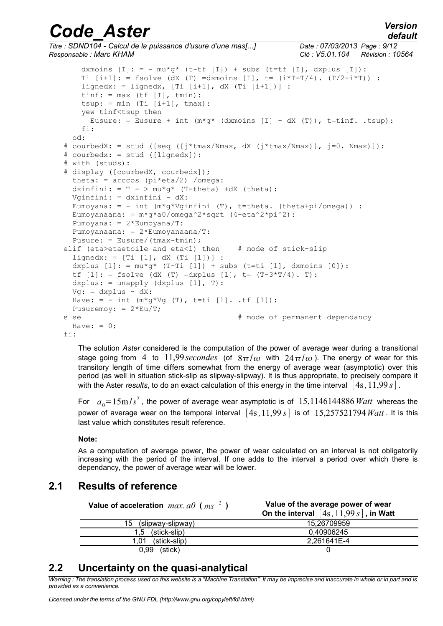## *default*

# *Code\_Aster Version*

```
Titre : SDND104 - Calcul de la puissance d'usure d'une mas[...] Date : 07/03/2013 Page : 9/12
Responsable : Marc KHAM Clé : V5.01.104 Révision : 10564
       dxmoins [I]: = -mu * g * (t-tf [I]) + subs (t=tf [I], d x plus [I]):Ti [i+1]: = fsolve (dX (T) =dxmoins [I], t = (i*T-T/4). (T/2+i*T)) :
       lignedx: = lignedx, [Ti [i+1], dX (Ti [i+1])] :
       tinf: = max (tf [I], tmin):
       tsup: = min (Ti [i+1], tmax): yew tinf<tsup then
         Eusure: = Eusure + int (m * q * (d x m o in s [I] - dX (T)), t=tinf. .tsup):
        fi:
      od:
   # courbedX: = stud ([seq ([j*tmax/Nmax, dX (j*tmax/Nmax)], j=0. Nmax)]):
   # courbedx: = stud ([lignedx]):
   # with (studs):
   # display ([courbedX, courbedx]);
      theta: = arccos (pi*eta/2) /omega:
     dxinfini: = T - >mu*q* (T-theta) +dX (theta):
      Vginfini: = dxinfini - dX:
     Eumoyana: = - int (m * q * Vqinfini (T), t=theta. (theta+pi/omega)) :
     Eumoyanaana: = m * q * a0/omega qa^2 * sqrt (4 - eta^2 * pi^2): Pumoyana: = 2*Eumoyana/T:
      Pumoyanaana: = 2*Eumoyanaana/T:
      Pusure: = Eusure/(tmax-tmin);
   elif (eta>etaetoile and eta<1) then # mode of stick-slip 
     lingnedx: = [Ti [1], dX (Ti [1])):
     dxplus [1]: = \text{mu} * q * (T-Ti [1]) + \text{subs} (t=ti [1], \text{dxmoins} [0]):tf [1]: = fsolve (dX (T) =dxplus [1], t= (T-3*T/4). T):
     dxplus: = unapply (dxplus [1], T):
     Vg: = dxplus - dX:
     Have: = - int (m * g * Vg (T), t=ti [1]. t f [1]):Pusuremoy: = 2*Eu/T;
   else \# mode of permanent dependancy
     Have: = 0;fi:
```
The solution *Aster* considered is the computation of the power of average wear during a transitional stage going from 4 to 11,99 secondes (of  $8\pi/\omega$  with  $24\pi/\omega$ ). The energy of wear for this transitory length of time differs somewhat from the energy of average wear (asymptotic) over this period (as well in situation stick-slip as slipway-slipway). It is thus appropriate, to precisely compare it with the Aster *results*, to do an exact calculation of this energy in the time interval  $\begin{bmatrix} 4s, 11,99 \ s \end{bmatrix}$ .

For  $a_0 = 15 \text{m/s}^2$  , the power of average wear asymptotic is of  $~15{,}1146144886\,Watt~$  whereas the power of average wear on the temporal interval  $[4s, 11, 99 s]$  is of  $15,257521794$  *Watt*. It is this last value which constitutes result reference.

#### **Note:**

As a computation of average power, the power of wear calculated on an interval is not obligatorily increasing with the period of the interval. If one adds to the interval a period over which there is dependancy, the power of average wear will be lower.

## **2.1 Results of reference**

| Value of acceleration $max. a0$ ( $ms^{-2}$ | Value of the average power of wear<br>On the interval $[4s, 11, 99s]$ , in Watt |
|---------------------------------------------|---------------------------------------------------------------------------------|
| (slipway-slipway)<br>15                     | 15.26709959                                                                     |
| (stick-slip)<br>1.5                         | 0.40906245                                                                      |
| (stick-slip)<br>1.01                        | 2,261641E-4                                                                     |
| 0.99<br>(stick)                             |                                                                                 |

## **2.2 Uncertainty on the quasi-analytical**

*Warning : The translation process used on this website is a "Machine Translation". It may be imprecise and inaccurate in whole or in part and is provided as a convenience.*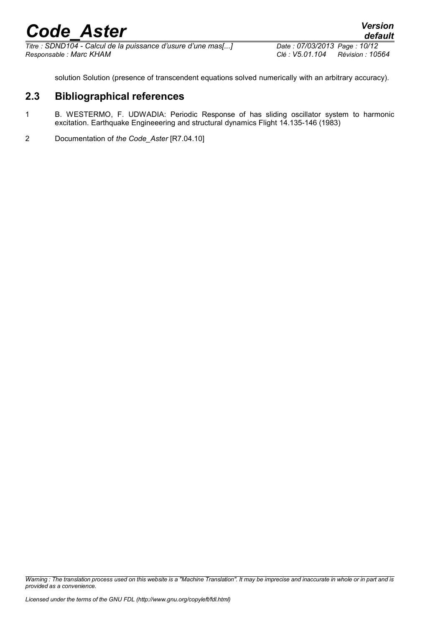*Titre : SDND104 - Calcul de la puissance d'usure d'une mas[...] Date : 07/03/2013 Page : 10/12 Responsable : Marc KHAM Clé : V5.01.104 Révision : 10564*

solution Solution (presence of transcendent equations solved numerically with an arbitrary accuracy).

## **2.3 Bibliographical references**

- 1 B. WESTERMO, F. UDWADIA: Periodic Response of has sliding oscillator system to harmonic excitation. Earthquake Engineeering and structural dynamics Flight 14.135-146 (1983)
- 2 Documentation of *the Code\_Aster* [R7.04.10]

*Warning : The translation process used on this website is a "Machine Translation". It may be imprecise and inaccurate in whole or in part and is provided as a convenience.*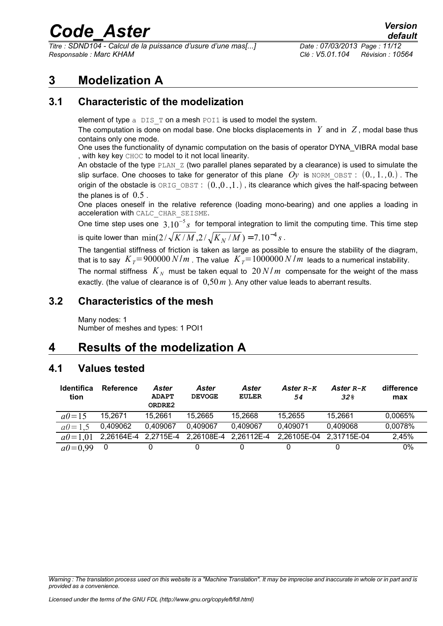*Titre : SDND104 - Calcul de la puissance d'usure d'une mas[...] Date : 07/03/2013 Page : 11/12 Responsable : Marc KHAM Clé : V5.01.104 Révision : 10564*

## **3 Modelization A**

## **3.1 Characteristic of the modelization**

element of type a DIS T on a mesh POI1 is used to model the system.

The computation is done on modal base. One blocks displacements in  $Y$  and in  $Z$ , modal base thus contains only one mode.

One uses the functionality of dynamic computation on the basis of operator DYNA\_VIBRA modal base , with key key CHOC to model to it not local linearity.

An obstacle of the type  $PLAN_Z$  (two parallel planes separated by a clearance) is used to simulate the slip surface. One chooses to take for generator of this plane  $O_V$  is NORM OBST :  $(0, 1, 0, 0)$ . The origin of the obstacle is  $ORIG$  OBST :  $(0,0,1)$ , its clearance which gives the half-spacing between the planes is of  $0.5$ .

One places oneself in the relative reference (loading mono-bearing) and one applies a loading in acceleration with CALC\_CHAR\_SEISME.

One time step uses one 3.10<sup>−</sup><sup>5</sup> *s* for temporal integration to limit the computing time. This time step is quite lower than  $\min(2/\sqrt{K/M}, 2/\sqrt{K_N/M})$  =  $7.10^{-4}\, s$  .

The tangential stiffness of friction is taken as large as possible to ensure the stability of the diagram, that is to say  $K_T = 900000 \text{ N/m}$ . The value  $K_T = 1000000 \text{ N/m}$  leads to a numerical instability.

The normal stiffness  $|K_N|$  must be taken equal to  $|20\,N/m|$  compensate for the weight of the mass exactly. (the value of clearance is of 0,50*m* ). Any other value leads to aberrant results.

### **3.2 Characteristics of the mesh**

Many nodes: 1 Number of meshes and types: 1 POI1

## **4 Results of the modelization A**

## **4.1 Values tested**

| <b>Identifica</b><br>tion | <b>Reference</b> | Aster<br><b>ADAPT</b><br>ORDRE2 | <b>Aster</b><br><b>DEVOGE</b> | Aster<br><b>EULER</b>                      | Aster R-K<br>54         | Aster R-K<br>32 <sub>8</sub> | difference<br>max |
|---------------------------|------------------|---------------------------------|-------------------------------|--------------------------------------------|-------------------------|------------------------------|-------------------|
| $a0 = 15$                 | 15.2671          | 15.2661                         | 15.2665                       | 15,2668                                    | 15.2655                 | 15.2661                      | 0,0065%           |
| $a0 = 1.5$                | 0,409062         | 0.409067                        | 0.409067                      | 0.409067                                   | 0,409071                | 0.409068                     | 0.0078%           |
| $a0=101$                  |                  |                                 |                               | 2,26164E-4 2,2715E-4 2,26108E-4 2,26112E-4 | 2,26105E-04 2,31715E-04 |                              | 2,45%             |
| $a0=0.99$                 | 0                |                                 |                               |                                            |                         |                              | $0\%$             |

*Warning : The translation process used on this website is a "Machine Translation". It may be imprecise and inaccurate in whole or in part and is provided as a convenience.*